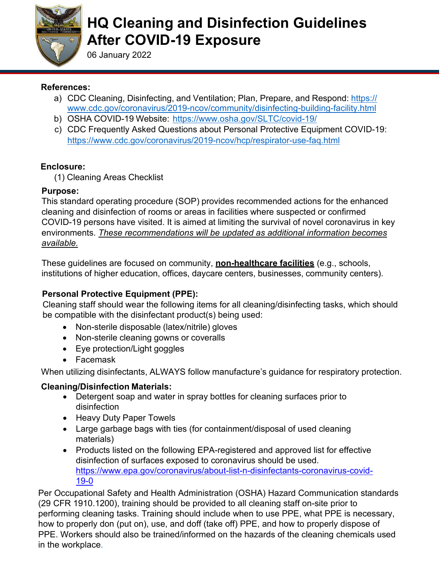

# **HQ Cleaning and Disinfection Guidelines After COVID-19 Exposure**

06 January 2022

#### **References:**

- a) CDC Cleaning, Disinfecting, and Ventilation; Plan, Prepare, and Respond: https:// [www.cdc.gov/coronavirus/2019-ncov/community/disinfecting-building-facility.html](about:blank)
- b) OSHA COVID-19 Website: [https://www.osha.gov/SLTC/covid-1](about:blank)9/
- c) CDC Frequently Asked Questions about Personal Protective Equipment COVID-19: [https://www.cdc.gov/coronavirus/2019-ncov/hcp/respirator-use-faq.html](about:blank)

#### **Enclosure:**

(1) Cleaning Areas Checklist

#### **Purpose:**

This standard operating procedure (SOP) provides recommended actions for the enhanced cleaning and disinfection of rooms or areas in facilities where suspected or confirmed COVID-19 persons have visited. It is aimed at limiting the survival of novel coronavirus in key environments. *These recommendations will be updated as additional information becomes available.*

These guidelines are focused on community, **non-healthcare facilities** (e.g., schools, institutions of higher education, offices, daycare centers, businesses, community centers).

### **Personal Protective Equipment (PPE):**

Cleaning staff should wear the following items for all cleaning/disinfecting tasks, which should be compatible with the disinfectant product(s) being used:

- Non-sterile disposable (latex/nitrile) gloves
- Non-sterile cleaning gowns or coveralls
- Eye protection/Light goggles
- Facemask

When utilizing disinfectants, ALWAYS follow manufacture's guidance for respiratory protection.

#### **Cleaning/Disinfection Materials:**

- Detergent soap and water in spray bottles for cleaning surfaces prior to disinfection
- Heavy Duty Paper Towels
- Large garbage bags with ties (for containment/disposal of used cleaning materials)
- Products listed on the following EPA-registered and approved list for effective disinfection of surfaces exposed to coronavirus should be used. [https://www.epa.gov/coronavirus/about-list-n-disinfectants-coronavirus-covid-](https://www.epa.gov/coronavirus/about-list-n-disinfectants-coronavirus-covid-19-0)[19-0](https://www.epa.gov/coronavirus/about-list-n-disinfectants-coronavirus-covid-19-0)

Per Occupational Safety and Health Administration (OSHA) Hazard Communication standards (29 CFR 1910.1200), training should be provided to all cleaning staff on-site prior to performing cleaning tasks. Training should include when to use PPE, what PPE is necessary, how to properly don (put on), use, and doff (take off) PPE, and how to properly dispose of PPE. Workers should also be trained/informed on the hazards of the cleaning chemicals used in the workplace.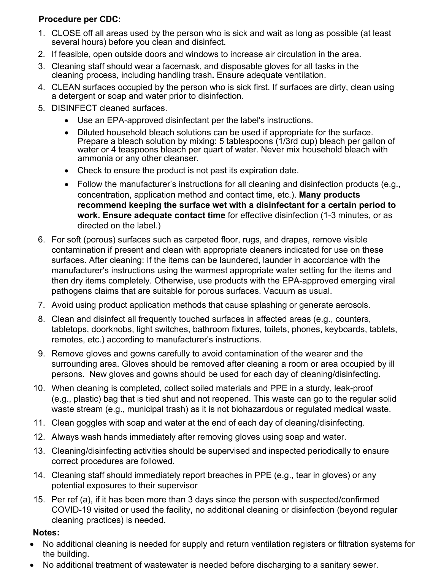### **Procedure per CDC:**

- 1. CLOSE off all areas used by the person who is sick and wait as long as possible (at least several hours) before you clean and disinfect.
- 2. If feasible, open outside doors and windows to increase air circulation in the area.
- 3. Cleaning staff should wear a facemask, and disposable gloves for all tasks in the cleaning process, including handling trash**.** Ensure adequate ventilation.
- 4. CLEAN surfaces occupied by the person who is sick first. If surfaces are dirty, clean using a detergent or soap and water prior to disinfection.
- 5. DISINFECT cleaned surfaces.
	- Use an EPA-approved disinfectant per the label's instructions.
	- Diluted household bleach solutions can be used if appropriate for the surface. Prepare a bleach solution by mixing: 5 tablespoons (1/3rd cup) bleach per gallon of water or 4 teaspoons bleach per quart of water. Never mix household bleach with ammonia or any other cleanser.
	- Check to ensure the product is not past its expiration date.
	- Follow the manufacturer's instructions for all cleaning and disinfection products (e.g., concentration, application method and contact time, etc.). **Many products recommend keeping the surface wet with a disinfectant for a certain period to work. Ensure adequate contact time** for effective disinfection (1-3 minutes, or as directed on the label.)
- 6. For soft (porous) surfaces such as carpeted floor, rugs, and drapes, remove visible contamination if present and clean with appropriate cleaners indicated for use on these surfaces. After cleaning: If the items can be laundered, launder in accordance with the manufacturer's instructions using the warmest appropriate water setting for the items and then dry items completely. Otherwise, use products with the EPA-approved emerging viral pathogens claims that are suitable for porous surfaces. Vacuum as usual.
- 7. Avoid using product application methods that cause splashing or generate aerosols.
- 8. Clean and disinfect all frequently touched surfaces in affected areas (e.g., counters, tabletops, doorknobs, light switches, bathroom fixtures, toilets, phones, keyboards, tablets, remotes, etc.) according to manufacturer's instructions.
- 9. Remove gloves and gowns carefully to avoid contamination of the wearer and the surrounding area. Gloves should be removed after cleaning a room or area occupied by ill persons. New gloves and gowns should be used for each day of cleaning/disinfecting.
- 10. When cleaning is completed, collect soiled materials and PPE in a sturdy, leak-proof (e.g., plastic) bag that is tied shut and not reopened. This waste can go to the regular solid waste stream (e.g., municipal trash) as it is not biohazardous or regulated medical waste.
- 11. Clean goggles with soap and water at the end of each day of cleaning/disinfecting.
- 12. Always wash hands immediately after removing gloves using soap and water.
- 13. Cleaning/disinfecting activities should be supervised and inspected periodically to ensure correct procedures are followed.
- 14. Cleaning staff should immediately report breaches in PPE (e.g., tear in gloves) or any potential exposures to their supervisor
- 15. Per ref (a), if it has been more than 3 days since the person with suspected/confirmed COVID-19 visited or used the facility, no additional cleaning or disinfection (beyond regular cleaning practices) is needed.

#### **Notes:**

- No additional cleaning is needed for supply and return ventilation registers or filtration systems for the building.
- No additional treatment of wastewater is needed before discharging to a sanitary sewer.